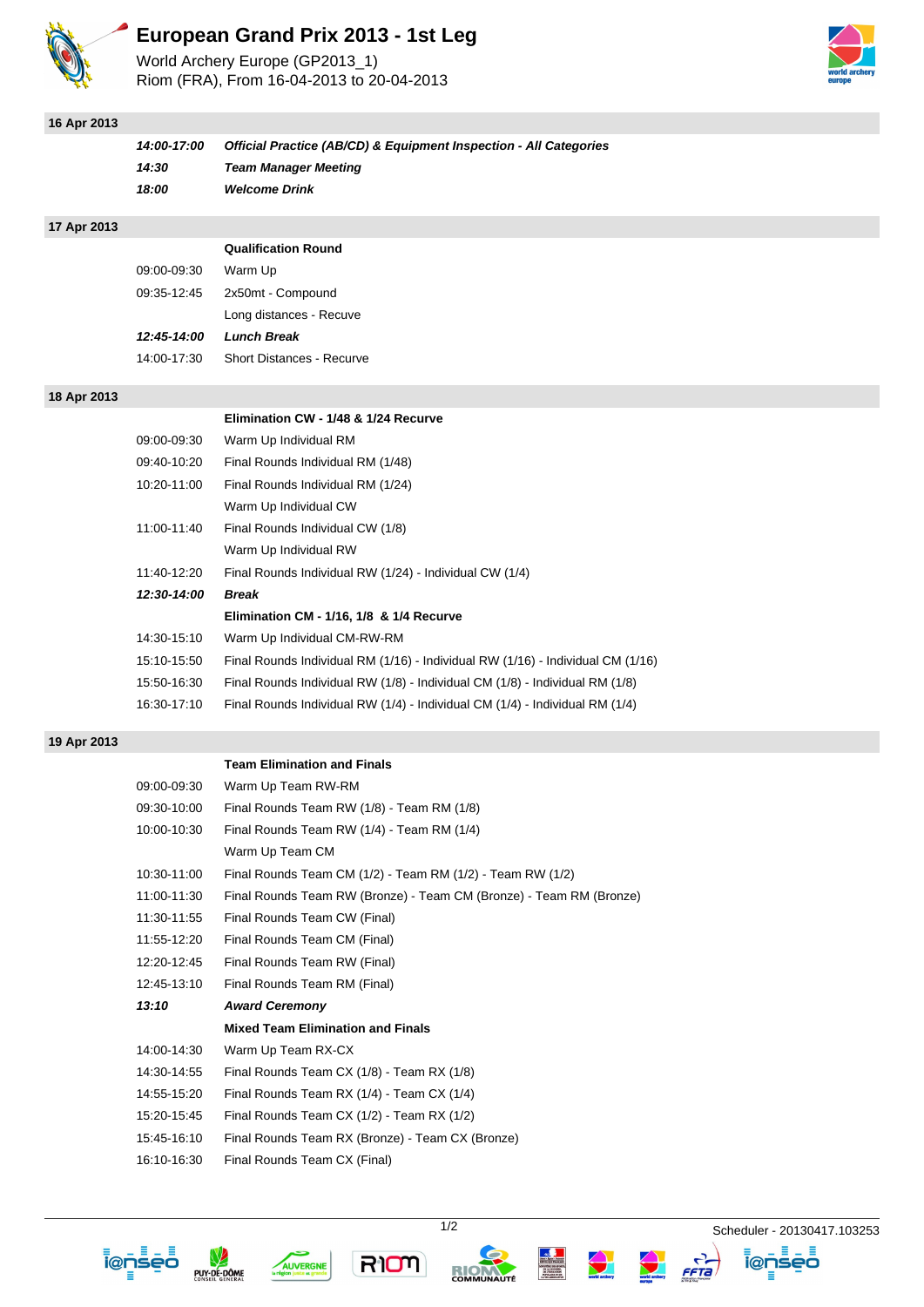

# **European Grand Prix 2013 - 1st Leg**

World Archery Europe (GP2013\_1) Riom (FRA), From 16-04-2013 to 20-04-2013



### **16 Apr 2013**

| 14:00-17:00 | Official Practice (AB/CD) & Equipment Inspection - All Categories |
|-------------|-------------------------------------------------------------------|
| 14:30       | <b>Team Manager Meeting</b>                                       |
| 18:00       | <b>Welcome Drink</b>                                              |

#### **17 Apr 2013**

|             | <b>Qualification Round</b>       |
|-------------|----------------------------------|
| 09:00-09:30 | Warm Up                          |
| 09:35-12:45 | 2x50mt - Compound                |
|             | Long distances - Recuve          |
| 12:45-14:00 | <b>Lunch Break</b>               |
| 14:00-17:30 | <b>Short Distances - Recurve</b> |
|             |                                  |

#### **18 Apr 2013**

#### **Elimination CW - 1/48 & 1/24 Recurve**

| 09:00-09:30 | Warm Up Individual RM                                                           |
|-------------|---------------------------------------------------------------------------------|
| 09:40-10:20 | Final Rounds Individual RM (1/48)                                               |
| 10:20-11:00 | Final Rounds Individual RM (1/24)                                               |
|             | Warm Up Individual CW                                                           |
| 11:00-11:40 | Final Rounds Individual CW (1/8)                                                |
|             | Warm Up Individual RW                                                           |
| 11:40-12:20 | Final Rounds Individual RW (1/24) - Individual CW (1/4)                         |
| 12:30-14:00 | <b>Break</b>                                                                    |
|             | Elimination CM - 1/16, 1/8 & 1/4 Recurve                                        |
| 14:30-15:10 | Warm Up Individual CM-RW-RM                                                     |
| 15:10-15:50 | Final Rounds Individual RM (1/16) - Individual RW (1/16) - Individual CM (1/16) |
| 15:50-16:30 | Final Rounds Individual RW (1/8) - Individual CM (1/8) - Individual RM (1/8)    |
| 16:30-17:10 | Final Rounds Individual RW (1/4) - Individual CM (1/4) - Individual RM (1/4)    |

#### **19 Apr 2013**

#### **Team Elimination and Finals**

| 09:00-09:30 | Warm Up Team RW-RM                                                  |
|-------------|---------------------------------------------------------------------|
| 09:30-10:00 | Final Rounds Team RW (1/8) - Team RM (1/8)                          |
| 10:00-10:30 | Final Rounds Team RW (1/4) - Team RM (1/4)                          |
|             | Warm Up Team CM                                                     |
| 10:30-11:00 | Final Rounds Team CM (1/2) - Team RM (1/2) - Team RW (1/2)          |
| 11:00-11:30 | Final Rounds Team RW (Bronze) - Team CM (Bronze) - Team RM (Bronze) |
| 11:30-11:55 | Final Rounds Team CW (Final)                                        |
| 11:55-12:20 | Final Rounds Team CM (Final)                                        |
| 12:20-12:45 | Final Rounds Team RW (Final)                                        |
| 12:45-13:10 | Final Rounds Team RM (Final)                                        |
| 13:10       | <b>Award Ceremony</b>                                               |
|             | <b>Mixed Team Elimination and Finals</b>                            |
| 14:00-14:30 | Warm Up Team RX-CX                                                  |
| 14:30-14:55 | Final Rounds Team CX (1/8) - Team RX (1/8)                          |
| 14:55-15:20 | Final Rounds Team RX (1/4) - Team CX (1/4)                          |
| 15:20-15:45 | Final Rounds Team CX (1/2) - Team RX (1/2)                          |
| 15:45-16:10 | Final Rounds Team RX (Bronze) - Team CX (Bronze)                    |
| 16:10-16:30 | Final Rounds Team CX (Final)                                        |